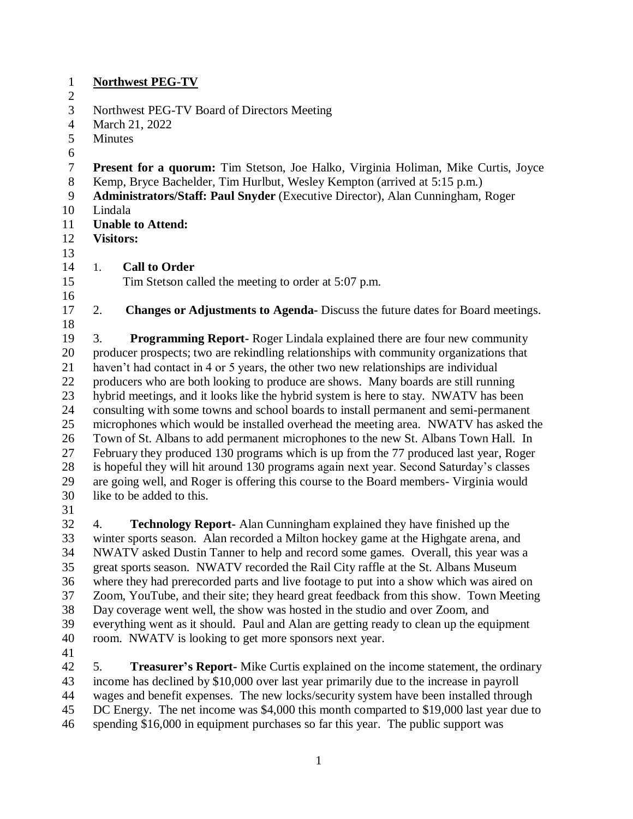## **Northwest PEG-TV**

- 
- Northwest PEG-TV Board of Directors Meeting
- March 21, 2022
- Minutes
- 
- **Present for a quorum:** Tim Stetson, Joe Halko, Virginia Holiman, Mike Curtis, Joyce
- Kemp, Bryce Bachelder, Tim Hurlbut, Wesley Kempton (arrived at 5:15 p.m.)
- **Administrators/Staff: Paul Snyder** (Executive Director), Alan Cunningham, Roger
- Lindala
- **Unable to Attend:**
- **Visitors:**
- 1. **Call to Order**

Tim Stetson called the meeting to order at 5:07 p.m.

- 2. **Changes or Adjustments to Agenda-** Discuss the future dates for Board meetings.
- 

 3. **Programming Report-** Roger Lindala explained there are four new community producer prospects; two are rekindling relationships with community organizations that haven't had contact in 4 or 5 years, the other two new relationships are individual producers who are both looking to produce are shows. Many boards are still running hybrid meetings, and it looks like the hybrid system is here to stay. NWATV has been consulting with some towns and school boards to install permanent and semi-permanent microphones which would be installed overhead the meeting area. NWATV has asked the Town of St. Albans to add permanent microphones to the new St. Albans Town Hall. In February they produced 130 programs which is up from the 77 produced last year, Roger is hopeful they will hit around 130 programs again next year. Second Saturday's classes are going well, and Roger is offering this course to the Board members- Virginia would like to be added to this.

 4. **Technology Report-** Alan Cunningham explained they have finished up the winter sports season. Alan recorded a Milton hockey game at the Highgate arena, and NWATV asked Dustin Tanner to help and record some games. Overall, this year was a great sports season. NWATV recorded the Rail City raffle at the St. Albans Museum where they had prerecorded parts and live footage to put into a show which was aired on Zoom, YouTube, and their site; they heard great feedback from this show. Town Meeting Day coverage went well, the show was hosted in the studio and over Zoom, and everything went as it should. Paul and Alan are getting ready to clean up the equipment room. NWATV is looking to get more sponsors next year.

 5. **Treasurer's Report-** Mike Curtis explained on the income statement, the ordinary income has declined by \$10,000 over last year primarily due to the increase in payroll wages and benefit expenses. The new locks/security system have been installed through DC Energy. The net income was \$4,000 this month comparted to \$19,000 last year due to spending \$16,000 in equipment purchases so far this year. The public support was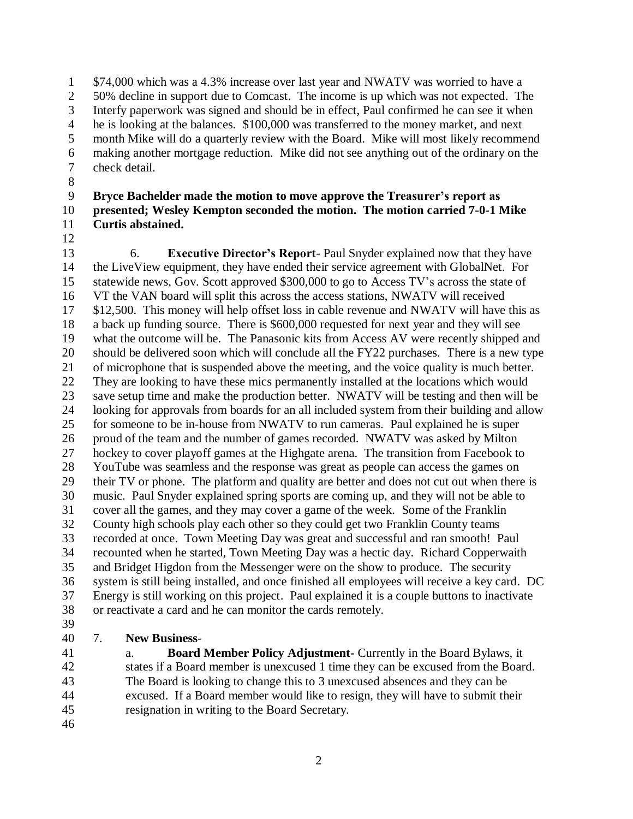\$74,000 which was a 4.3% increase over last year and NWATV was worried to have a 50% decline in support due to Comcast. The income is up which was not expected. The Interfy paperwork was signed and should be in effect, Paul confirmed he can see it when he is looking at the balances. \$100,000 was transferred to the money market, and next month Mike will do a quarterly review with the Board. Mike will most likely recommend making another mortgage reduction. Mike did not see anything out of the ordinary on the check detail.

## **Bryce Bachelder made the motion to move approve the Treasurer's report as presented; Wesley Kempton seconded the motion. The motion carried 7-0-1 Mike Curtis abstained.**

 6. **Executive Director's Report**- Paul Snyder explained now that they have the LiveView equipment, they have ended their service agreement with GlobalNet. For statewide news, Gov. Scott approved \$300,000 to go to Access TV's across the state of VT the VAN board will split this across the access stations, NWATV will received \$12,500. This money will help offset loss in cable revenue and NWATV will have this as a back up funding source. There is \$600,000 requested for next year and they will see what the outcome will be. The Panasonic kits from Access AV were recently shipped and should be delivered soon which will conclude all the FY22 purchases. There is a new type of microphone that is suspended above the meeting, and the voice quality is much better. They are looking to have these mics permanently installed at the locations which would save setup time and make the production better. NWATV will be testing and then will be looking for approvals from boards for an all included system from their building and allow for someone to be in-house from NWATV to run cameras. Paul explained he is super proud of the team and the number of games recorded. NWATV was asked by Milton hockey to cover playoff games at the Highgate arena. The transition from Facebook to YouTube was seamless and the response was great as people can access the games on their TV or phone. The platform and quality are better and does not cut out when there is music. Paul Snyder explained spring sports are coming up, and they will not be able to cover all the games, and they may cover a game of the week. Some of the Franklin County high schools play each other so they could get two Franklin County teams recorded at once. Town Meeting Day was great and successful and ran smooth! Paul recounted when he started, Town Meeting Day was a hectic day. Richard Copperwaith and Bridget Higdon from the Messenger were on the show to produce. The security system is still being installed, and once finished all employees will receive a key card. DC Energy is still working on this project. Paul explained it is a couple buttons to inactivate or reactivate a card and he can monitor the cards remotely. 

7. **New Business**-

 a. **Board Member Policy Adjustment-** Currently in the Board Bylaws, it states if a Board member is unexcused 1 time they can be excused from the Board. The Board is looking to change this to 3 unexcused absences and they can be excused. If a Board member would like to resign, they will have to submit their resignation in writing to the Board Secretary.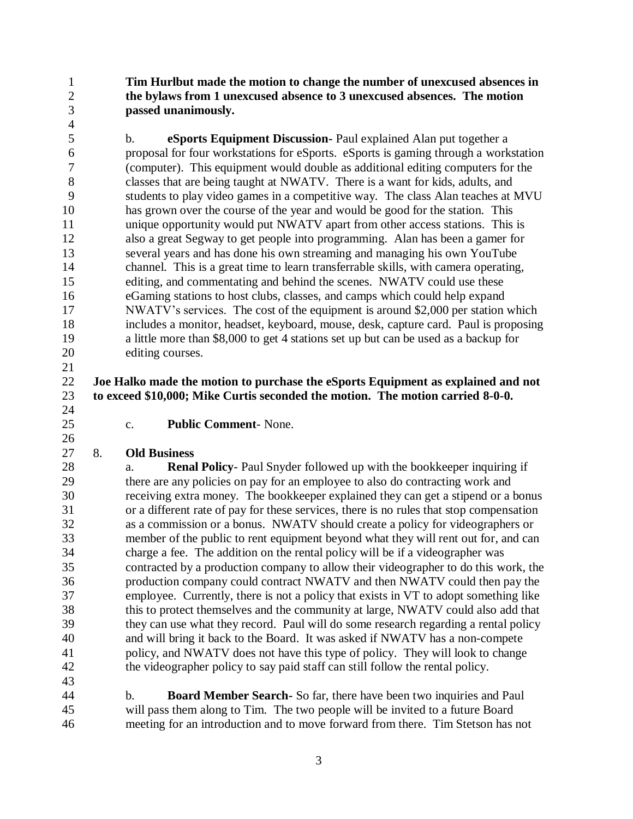**Tim Hurlbut made the motion to change the number of unexcused absences in the bylaws from 1 unexcused absence to 3 unexcused absences. The motion passed unanimously.** 

 b. **eSports Equipment Discussion-** Paul explained Alan put together a proposal for four workstations for eSports. eSports is gaming through a workstation (computer). This equipment would double as additional editing computers for the classes that are being taught at NWATV. There is a want for kids, adults, and students to play video games in a competitive way. The class Alan teaches at MVU has grown over the course of the year and would be good for the station. This unique opportunity would put NWATV apart from other access stations. This is also a great Segway to get people into programming. Alan has been a gamer for several years and has done his own streaming and managing his own YouTube channel. This is a great time to learn transferrable skills, with camera operating, editing, and commentating and behind the scenes. NWATV could use these eGaming stations to host clubs, classes, and camps which could help expand NWATV's services. The cost of the equipment is around \$2,000 per station which includes a monitor, headset, keyboard, mouse, desk, capture card. Paul is proposing a little more than \$8,000 to get 4 stations set up but can be used as a backup for editing courses.

## **Joe Halko made the motion to purchase the eSports Equipment as explained and not to exceed \$10,000; Mike Curtis seconded the motion. The motion carried 8-0-0.**

c. **Public Comment**- None.

## 8. **Old Business**

 a. **Renal Policy**- Paul Snyder followed up with the bookkeeper inquiring if there are any policies on pay for an employee to also do contracting work and receiving extra money. The bookkeeper explained they can get a stipend or a bonus or a different rate of pay for these services, there is no rules that stop compensation as a commission or a bonus. NWATV should create a policy for videographers or member of the public to rent equipment beyond what they will rent out for, and can charge a fee. The addition on the rental policy will be if a videographer was contracted by a production company to allow their videographer to do this work, the production company could contract NWATV and then NWATV could then pay the employee. Currently, there is not a policy that exists in VT to adopt something like this to protect themselves and the community at large, NWATV could also add that they can use what they record. Paul will do some research regarding a rental policy and will bring it back to the Board. It was asked if NWATV has a non-compete policy, and NWATV does not have this type of policy. They will look to change the videographer policy to say paid staff can still follow the rental policy.

 b. **Board Member Search-** So far, there have been two inquiries and Paul will pass them along to Tim. The two people will be invited to a future Board meeting for an introduction and to move forward from there. Tim Stetson has not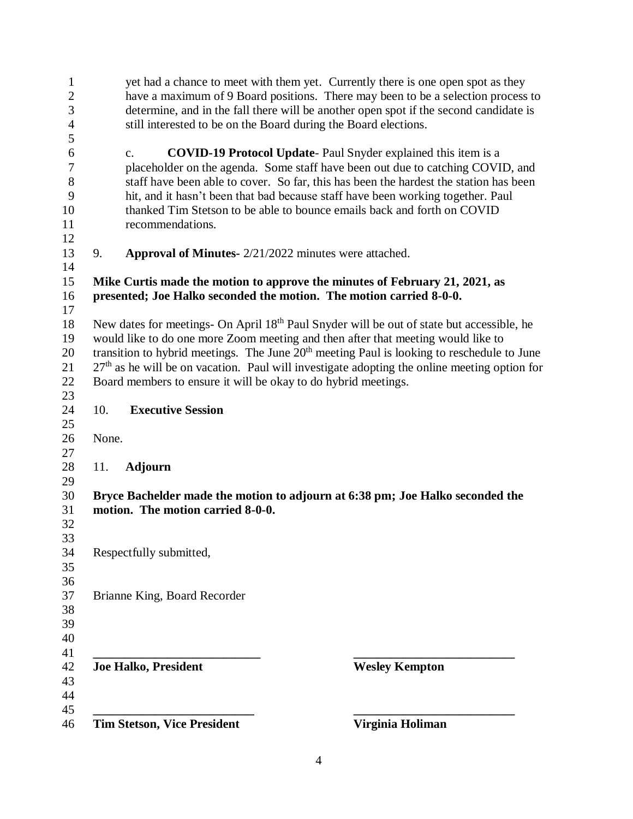| 1<br>$\mathbf{2}$<br>3 |       | yet had a chance to meet with them yet. Currently there is one open spot as they<br>have a maximum of 9 Board positions. There may been to be a selection process to<br>determine, and in the fall there will be another open spot if the second candidate is |                       |
|------------------------|-------|---------------------------------------------------------------------------------------------------------------------------------------------------------------------------------------------------------------------------------------------------------------|-----------------------|
| $\overline{4}$         |       | still interested to be on the Board during the Board elections.                                                                                                                                                                                               |                       |
| 5<br>6                 |       | <b>COVID-19 Protocol Update-Paul Snyder explained this item is a</b><br>$C_{\bullet}$                                                                                                                                                                         |                       |
| $\tau$<br>$8\,$        |       | placeholder on the agenda. Some staff have been out due to catching COVID, and<br>staff have been able to cover. So far, this has been the hardest the station has been                                                                                       |                       |
| 9<br>10<br>11          |       | hit, and it hasn't been that bad because staff have been working together. Paul<br>thanked Tim Stetson to be able to bounce emails back and forth on COVID<br>recommendations.                                                                                |                       |
| 12                     |       |                                                                                                                                                                                                                                                               |                       |
| 13                     | 9.    | <b>Approval of Minutes-</b> 2/21/2022 minutes were attached.                                                                                                                                                                                                  |                       |
| 14                     |       |                                                                                                                                                                                                                                                               |                       |
| 15<br>16               |       | Mike Curtis made the motion to approve the minutes of February 21, 2021, as<br>presented; Joe Halko seconded the motion. The motion carried 8-0-0.                                                                                                            |                       |
| 17                     |       |                                                                                                                                                                                                                                                               |                       |
| 18                     |       | New dates for meetings- On April 18 <sup>th</sup> Paul Snyder will be out of state but accessible, he                                                                                                                                                         |                       |
| 19                     |       | would like to do one more Zoom meeting and then after that meeting would like to                                                                                                                                                                              |                       |
| 20                     |       | transition to hybrid meetings. The June 20 <sup>th</sup> meeting Paul is looking to reschedule to June                                                                                                                                                        |                       |
| 21                     |       | $27th$ as he will be on vacation. Paul will investigate adopting the online meeting option for                                                                                                                                                                |                       |
| 22                     |       | Board members to ensure it will be okay to do hybrid meetings.                                                                                                                                                                                                |                       |
| 23                     |       |                                                                                                                                                                                                                                                               |                       |
| 24                     | 10.   | <b>Executive Session</b>                                                                                                                                                                                                                                      |                       |
| 25                     |       |                                                                                                                                                                                                                                                               |                       |
| 26                     | None. |                                                                                                                                                                                                                                                               |                       |
| 27                     |       |                                                                                                                                                                                                                                                               |                       |
| 28                     | 11.   | <b>Adjourn</b>                                                                                                                                                                                                                                                |                       |
| 29                     |       |                                                                                                                                                                                                                                                               |                       |
| 30                     |       | Bryce Bachelder made the motion to adjourn at 6:38 pm; Joe Halko seconded the                                                                                                                                                                                 |                       |
| 31                     |       | motion. The motion carried 8-0-0.                                                                                                                                                                                                                             |                       |
| 32                     |       |                                                                                                                                                                                                                                                               |                       |
| 33                     |       |                                                                                                                                                                                                                                                               |                       |
| 34                     |       | Respectfully submitted,                                                                                                                                                                                                                                       |                       |
| 35                     |       |                                                                                                                                                                                                                                                               |                       |
| 36                     |       |                                                                                                                                                                                                                                                               |                       |
| 37                     |       | Brianne King, Board Recorder                                                                                                                                                                                                                                  |                       |
| 38                     |       |                                                                                                                                                                                                                                                               |                       |
| 39                     |       |                                                                                                                                                                                                                                                               |                       |
| 40                     |       |                                                                                                                                                                                                                                                               |                       |
| 41                     |       |                                                                                                                                                                                                                                                               |                       |
| 42                     |       | <b>Joe Halko, President</b>                                                                                                                                                                                                                                   | <b>Wesley Kempton</b> |
| 43                     |       |                                                                                                                                                                                                                                                               |                       |
| 44                     |       |                                                                                                                                                                                                                                                               |                       |
| 45<br>46               |       | <b>Tim Stetson, Vice President</b>                                                                                                                                                                                                                            | Virginia Holiman      |
|                        |       |                                                                                                                                                                                                                                                               |                       |